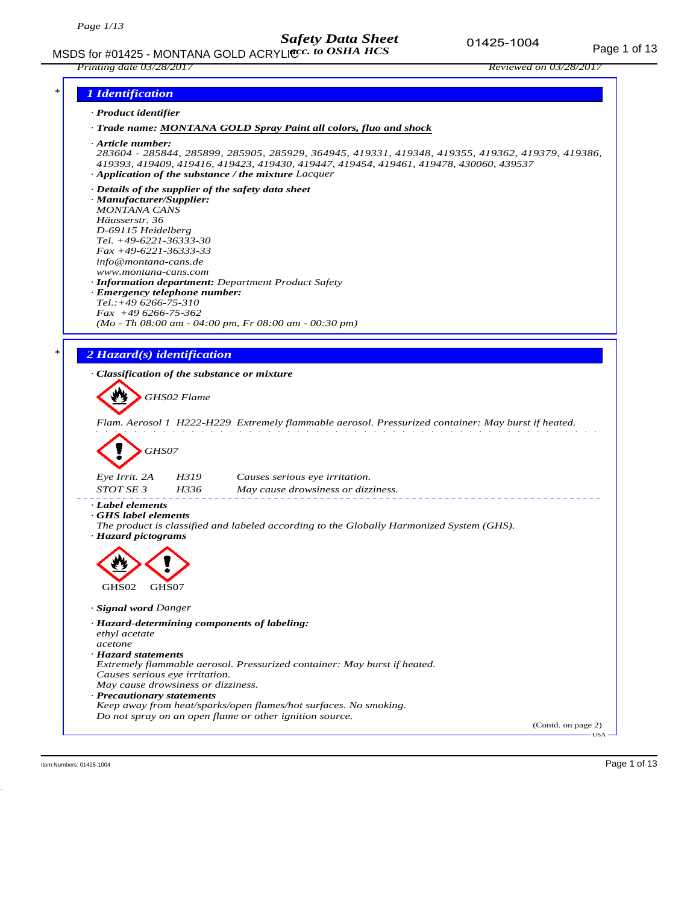

Item Numbers: 01425-1004 Page 1 of 13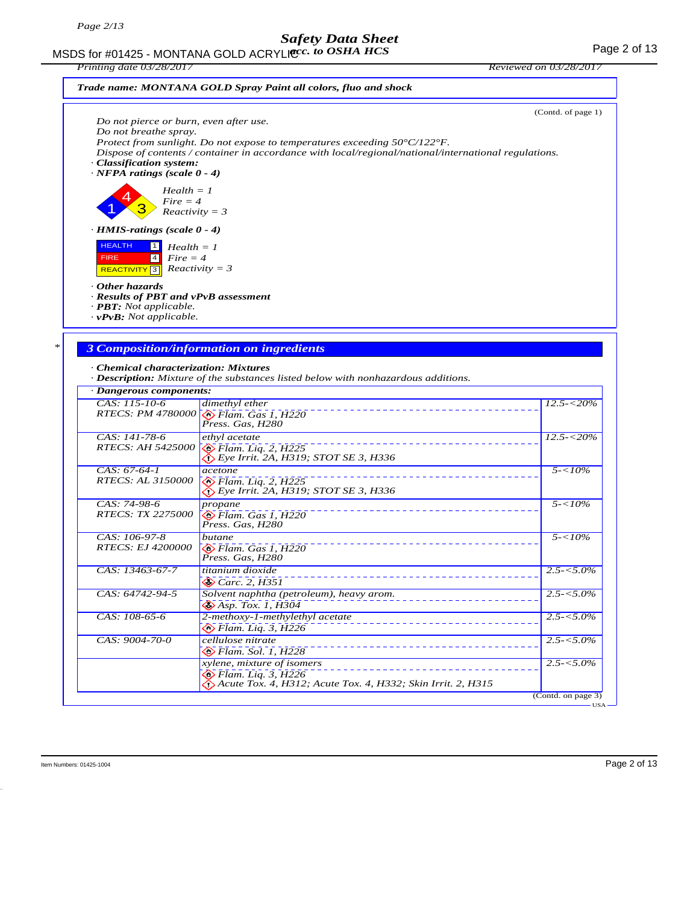MSDS for #01425 - MONTANA GOLD ACRYLIC  $cc.$  to OSHA HCS For the state of 13 *acc. to OSHA HCS*

*Printing date 03/28/2017 Reviewed on 03/28/2017*





| Do not pierce or burn, even after use.<br>Do not breathe spray.<br>· Classification system:<br>$\cdot$ NFPA ratings (scale 0 - 4) | Protect from sunlight. Do not expose to temperatures exceeding $50^{\circ}C/122^{\circ}F$ .<br>Dispose of contents / container in accordance with local/regional/national/international regulations. | (Contd. of page 1)             |
|-----------------------------------------------------------------------------------------------------------------------------------|------------------------------------------------------------------------------------------------------------------------------------------------------------------------------------------------------|--------------------------------|
| $Health = 1$<br>$Fire = 4$<br>$Reactivity = 3$                                                                                    |                                                                                                                                                                                                      |                                |
| $\cdot$ HMIS-ratings (scale 0 - 4)                                                                                                |                                                                                                                                                                                                      |                                |
| <b>HEALTH</b><br>$\vert$ 1 $\vert$<br>$Health = 1$<br>$Fire = 4$<br><b>FIRE</b><br> 4 <br>REACTIVITY <sup>3</sup>                 | $Reactivity = 3$                                                                                                                                                                                     |                                |
| Other hazards<br>· Results of PBT and vPvB assessment<br>$\cdot$ <b>PBT:</b> Not applicable.<br>$\cdot$ vPvB: Not applicable.     |                                                                                                                                                                                                      |                                |
|                                                                                                                                   |                                                                                                                                                                                                      |                                |
|                                                                                                                                   | <b>3 Composition/information on ingredients</b>                                                                                                                                                      |                                |
| · Chemical characterization: Mixtures                                                                                             | · Description: Mixture of the substances listed below with nonhazardous additions.                                                                                                                   |                                |
| · Dangerous components:                                                                                                           |                                                                                                                                                                                                      |                                |
| CAS: 115-10-6                                                                                                                     | dimethyl ether<br>RTECS: PM 4780000 SFlam. Gas 1, H220<br>Press. Gas. H280                                                                                                                           | $12.5 - 20\%$                  |
| CAS: 141-78-6<br><b>RTECS: AH 5425000</b>                                                                                         | ethyl acetate<br>$\otimes$ Flam. Liq. 2, H225<br>$\bigotimes$ Eye Irrit. 2A, H319; STOT SE 3, H336                                                                                                   | $12.5 - 520\%$                 |
| $CAS: 67-64-1$<br><b>RTECS: AL 3150000</b>                                                                                        | acetone<br>$\bullet$ Flam. Liq. 2, H225<br>$\bigotimes$ Eye Irrit. 2A, H319; STOT SE 3, H336                                                                                                         | $5 - 10\%$                     |
| CAS: 74-98-6<br><i>RTECS: TX 2275000</i>                                                                                          | propane<br>$\bigotimes$ Flam. Gas 1, H220<br>Press. Gas, H280                                                                                                                                        | $5 - 10\%$                     |
| CAS: 106-97-8<br><i>RTECS: EJ 4200000</i>                                                                                         | butane<br>$\otimes$ Flam. Gas 1, H220<br>Press. Gas, H280                                                                                                                                            | $5 - 10\%$                     |
| CAS: 13463-67-7                                                                                                                   | titanium dioxide<br>$\otimes$ Carc. 2, H351                                                                                                                                                          | $2.5 - 5.0\%$                  |
| $CAS: 64742-94-5$                                                                                                                 | Solvent naphtha (petroleum), heavy arom.<br>$\bigotimes$ Asp. Tox. 1, $\overline{H}3\overline{0}4$                                                                                                   | $2.5 - 5.0\%$                  |
|                                                                                                                                   |                                                                                                                                                                                                      |                                |
| CAS: 108-65-6                                                                                                                     | 2-methoxy-1-methylethyl acetate<br><b>◆ Flam.</b> Liq. 3, H226                                                                                                                                       |                                |
| CAS: 9004-70-0                                                                                                                    | cellulose nitrate<br>$\otimes$ Flam. Sol. 1, H228                                                                                                                                                    | $2.5 - 5.0\%$<br>$2.5 - 5.0\%$ |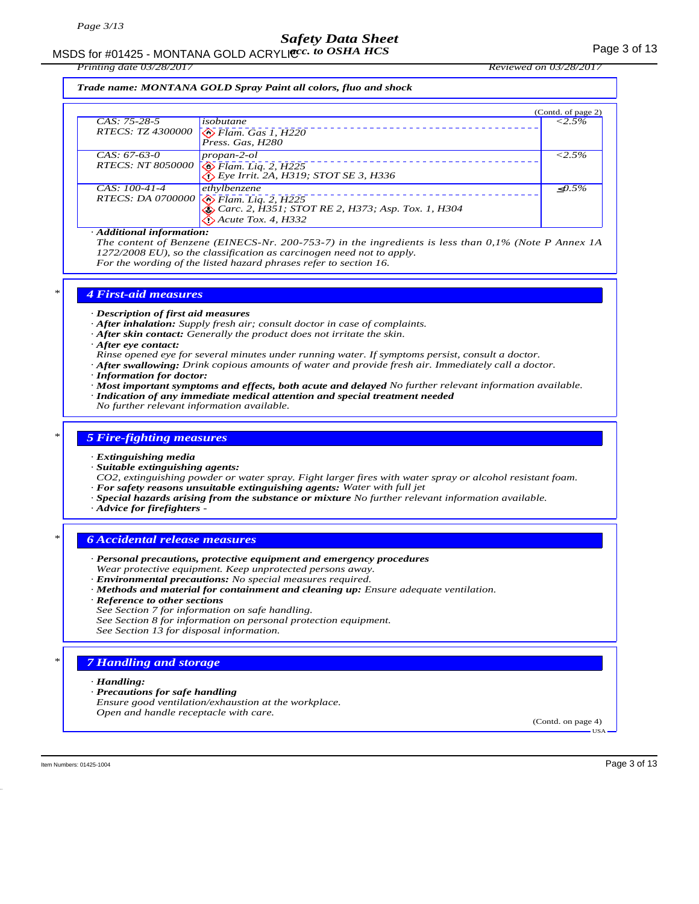# MSDS for #01425 - MONTANA GOLD ACRYLICC. to OSHA HCS **Acceleration of the COSE ACCOLD** ACRYLIC COSHA HCS

*Printing date 03/28/2017 Reviewed on 03/28/2017*

*Trade name: MONTANA GOLD Spray Paint all colors, fluo and shock*

|                          |                                                   | (Contd. of page 2) |
|--------------------------|---------------------------------------------------|--------------------|
| $CAS: 75-28-5$           | isobutane                                         | $< 2.5\%$          |
| <i>RTECS: TZ 4300000</i> | $\sqrt{\frac{1}{2}}$ Flam. Gas 1, H220            |                    |
| $CAS: 67-63-0$           | propan-2-ol                                       | $< 2.5\%$          |
|                          | RTECS: NT 8050000 8 Flam. Liq. 2, H225            |                    |
| $CAS: 100-41-4$          | ethylbenzene                                      | $\langle 0.5\%$    |
|                          | RTECS: DA 0700000 <b>S</b> Flam. Liq. 2, H225     |                    |
|                          | Carc. 2, H351; STOT RE 2, H373; Asp. Tox. 1, H304 |                    |
|                          | $\bigotimes$ Acute Tox. 4, H332                   |                    |

#### *· Additional information:*

*The content of Benzene (EINECS-Nr. 200-753-7) in the ingredients is less than 0,1% (Note P Annex 1A 1272/2008 EU), so the classification as carcinogen need not to apply. For the wording of the listed hazard phrases refer to section 16.*

### *\* 4 First-aid measures*

*· Description of first aid measures*

- *· After inhalation: Supply fresh air; consult doctor in case of complaints.*
- *· After skin contact: Generally the product does not irritate the skin.*
- *· After eye contact:*
- *Rinse opened eye for several minutes under running water. If symptoms persist, consult a doctor.*
- *· After swallowing: Drink copious amounts of water and provide fresh air. Immediately call a doctor.*
- *· Information for doctor:*
- *· Most important symptoms and effects, both acute and delayed No further relevant information available. · Indication of any immediate medical attention and special treatment needed*
- *No further relevant information available.*

### *\* 5 Fire-fighting measures*

#### *· Extinguishing media*

*· Suitable extinguishing agents:*

*CO2, extinguishing powder or water spray. Fight larger fires with water spray or alcohol resistant foam. · For safety reasons unsuitable extinguishing agents: Water with full jet*

- *· Special hazards arising from the substance or mixture No further relevant information available.*
- *· Advice for firefighters*

- *\* 6 Accidental release measures*
- *· Personal precautions, protective equipment and emergency procedures Wear protective equipment. Keep unprotected persons away. · Environmental precautions: No special measures required.*
- *· Methods and material for containment and cleaning up: Ensure adequate ventilation.*
- *· Reference to other sections*
- *See Section 7 for information on safe handling.*
- *See Section 8 for information on personal protection equipment.*
- *See Section 13 for disposal information.*

### *Handling and storage*

#### *· Handling:*

- *· Precautions for safe handling*
- *Ensure good ventilation/exhaustion at the workplace. Open and handle receptacle with care.*

(Contd. on page 4) USA

Item Numbers: 01425-1004 Page 3 of 13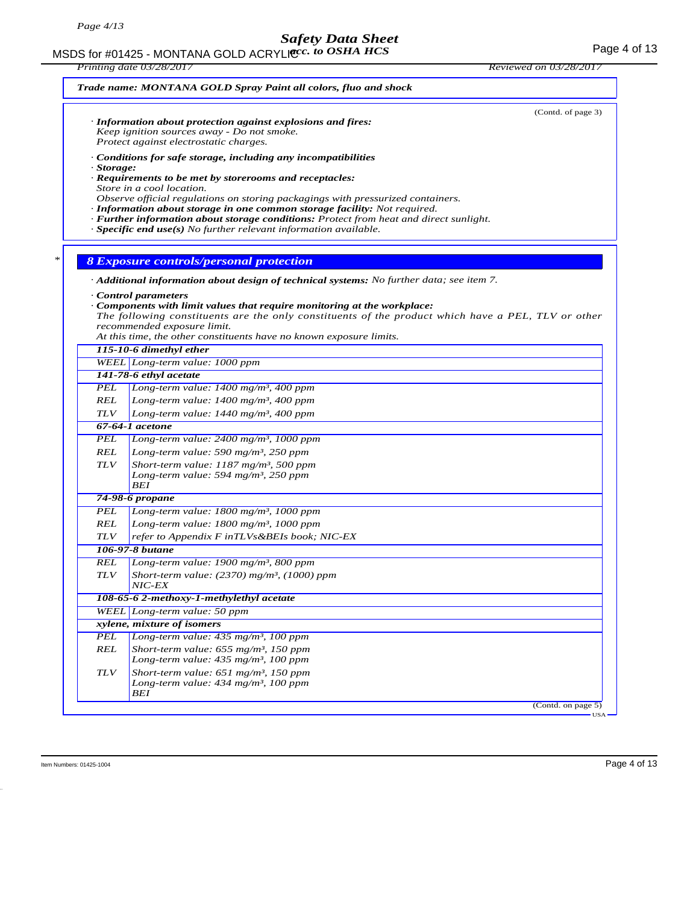MSDS for #01425 - MONTANA GOLD ACRYLICC. to OSHA HCS **Acceleration of the COSE ACCESS** Page 4 of 13

*Printing date 03/28/2017 Reviewed on 03/28/2017 Trade name: MONTANA GOLD Spray Paint all colors, fluo and shock* (Contd. of page 3) *· Information about protection against explosions and fires: Keep ignition sources away - Do not smoke. Protect against electrostatic charges. · Conditions for safe storage, including any incompatibilities · Storage: · Requirements to be met by storerooms and receptacles: Store in a cool location. Observe official regulations on storing packagings with pressurized containers. · Information about storage in one common storage facility: Not required. · Further information about storage conditions: Protect from heat and direct sunlight. · Specific end use(s) No further relevant information available. \* 8 Exposure controls/personal protection · Additional information about design of technical systems: No further data; see item 7. · Control parameters · Components with limit values that require monitoring at the workplace: The following constituents are the only constituents of the product which have a PEL, TLV or other recommended exposure limit. At this time, the other constituents have no known exposure limits. 115-10-6 dimethyl ether WEEL Long-term value: 1000 ppm 141-78-6 ethyl acetate PEL Long-term value: 1400 mg/m³, 400 ppm REL Long-term value: 1400 mg/m³, 400 ppm TLV Long-term value: 1440 mg/m³, 400 ppm 67-64-1 acetone PEL Long-term value: 2400 mg/m³, 1000 ppm REL Long-term value: 590 mg/m³, 250 ppm TLV Short-term value: 1187 mg/m³, 500 ppm Long-term value: 594 mg/m³, 250 ppm BEI 74-98-6 propane PEL Long-term value: 1800 mg/m³, 1000 ppm REL Long-term value: 1800 mg/m³, 1000 ppm TLV refer to Appendix F inTLVs&BEIs book; NIC-EX 106-97-8 butane REL Long-term value: 1900 mg/m³, 800 ppm TLV Short-term value: (2370) mg/m³, (1000) ppm NIC-EX 108-65-6 2-methoxy-1-methylethyl acetate WEEL Long-term value: 50 ppm xylene, mixture of isomers PEL Long-term value: 435 mg/m³, 100 ppm REL Short-term value: 655 mg/m³, 150 ppm Long-term value: 435 mg/m³, 100 ppm TLV Short-term value: 651 mg/m³, 150 ppm Long-term value: 434 mg/m³, 100 ppm BEI* (Contd. on page 5) USA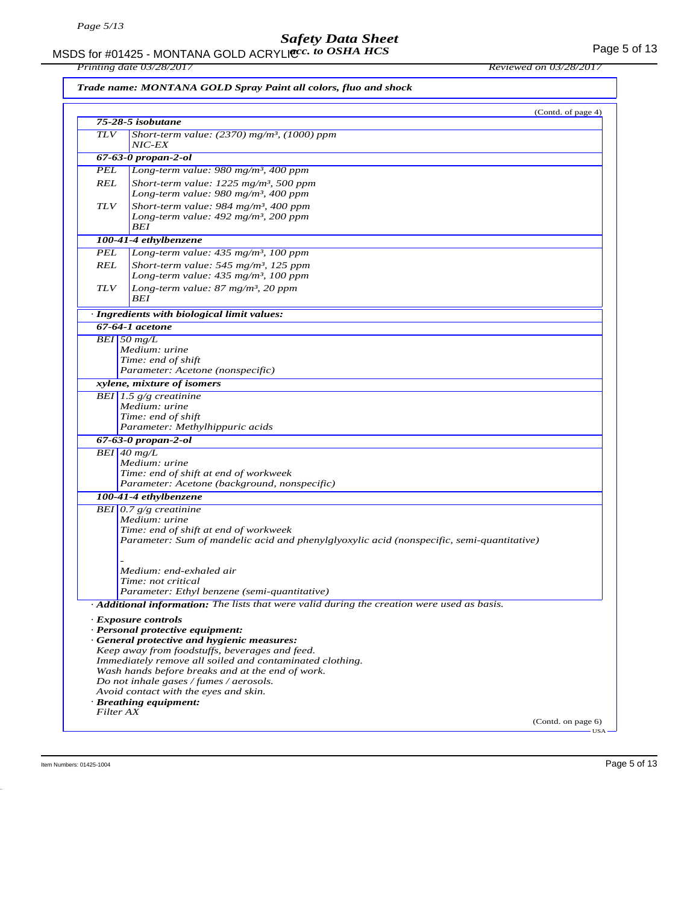MSDS for #01425 - MONTANA GOLD ACRYLIC  $cc.$  to OSHA HCS For the state of the state of the Page 5 of 13 *acc. to OSHA HCS*

*Printing date 03/28/2017 Reviewed on 03/28/2017*

*Trade name: MONTANA GOLD Spray Paint all colors, fluo and shock*

|            | (Contd. of page 4)                                                                          |
|------------|---------------------------------------------------------------------------------------------|
|            | 75-28-5 isobutane                                                                           |
| <b>TLV</b> | Short-term value: $(2370)$ mg/m <sup>3</sup> , $(1000)$ ppm<br><i>NIC-EX</i>                |
|            | $67-63-0$ propan-2-ol                                                                       |
| PEL        | Long-term value: 980 mg/m <sup>3</sup> , 400 ppm                                            |
| REL        | Short-term value: $1225$ mg/m <sup>3</sup> , 500 ppm                                        |
|            | Long-term value: 980 mg/m <sup>3</sup> , 400 ppm                                            |
| <b>TLV</b> | Short-term value: 984 mg/m <sup>3</sup> , 400 ppm                                           |
|            | Long-term value: $492$ mg/m <sup>3</sup> , 200 ppm<br>BEI                                   |
|            | 100-41-4 ethylbenzene                                                                       |
| PEL        | Long-term value: 435 mg/m <sup>3</sup> , 100 ppm                                            |
| REL        | Short-term value: $545$ mg/m <sup>3</sup> , 125 ppm                                         |
|            | Long-term value: $435 \text{ mg/m}^3$ , 100 ppm                                             |
| <b>TLV</b> | Long-term value: $87 \text{ mg/m}^3$ , 20 ppm                                               |
|            | BEI                                                                                         |
|            | · Ingredients with biological limit values:                                                 |
|            | 67-64-1 acetone                                                                             |
|            | $BEI$ 50 mg/L                                                                               |
|            | Medium: urine                                                                               |
|            | Time: end of shift                                                                          |
|            | Parameter: Acetone (nonspecific)                                                            |
|            | xylene, mixture of isomers                                                                  |
|            | BEI 1.5 $g/g$ creatinine                                                                    |
|            | Medium: urine<br>Time: end of shift                                                         |
|            | Parameter: Methylhippuric acids                                                             |
|            | $67 - 63 - 0$ propan-2-ol                                                                   |
|            | $BEI$ 40 mg/L                                                                               |
|            | Medium: urine                                                                               |
|            | Time: end of shift at end of workweek                                                       |
|            | Parameter: Acetone (background, nonspecific)                                                |
|            | 100-41-4 ethylbenzene                                                                       |
|            | BEI $0.7$ g/g creatinine                                                                    |
|            | Medium: urine                                                                               |
|            | Time: end of shift at end of workweek                                                       |
|            | Parameter: Sum of mandelic acid and phenylglyoxylic acid (nonspecific, semi-quantitative)   |
|            |                                                                                             |
|            | Medium: end-exhaled air                                                                     |
|            | Time: not critical                                                                          |
|            | Parameter: Ethyl benzene (semi-quantitative)                                                |
|            | Additional information: The lists that were valid during the creation were used as basis.   |
|            | · Exposure controls                                                                         |
|            | · Personal protective equipment:                                                            |
|            | · General protective and hygienic measures:                                                 |
|            | Keep away from foodstuffs, beverages and feed.                                              |
|            | Immediately remove all soiled and contaminated clothing.                                    |
|            | Wash hands before breaks and at the end of work.<br>Do not inhale gases / fumes / aerosols. |
|            | Avoid contact with the eyes and skin.                                                       |
|            | · Breathing equipment:                                                                      |
|            | Filter AX                                                                                   |
|            | (Contd. on page 6)                                                                          |
|            | $USA -$                                                                                     |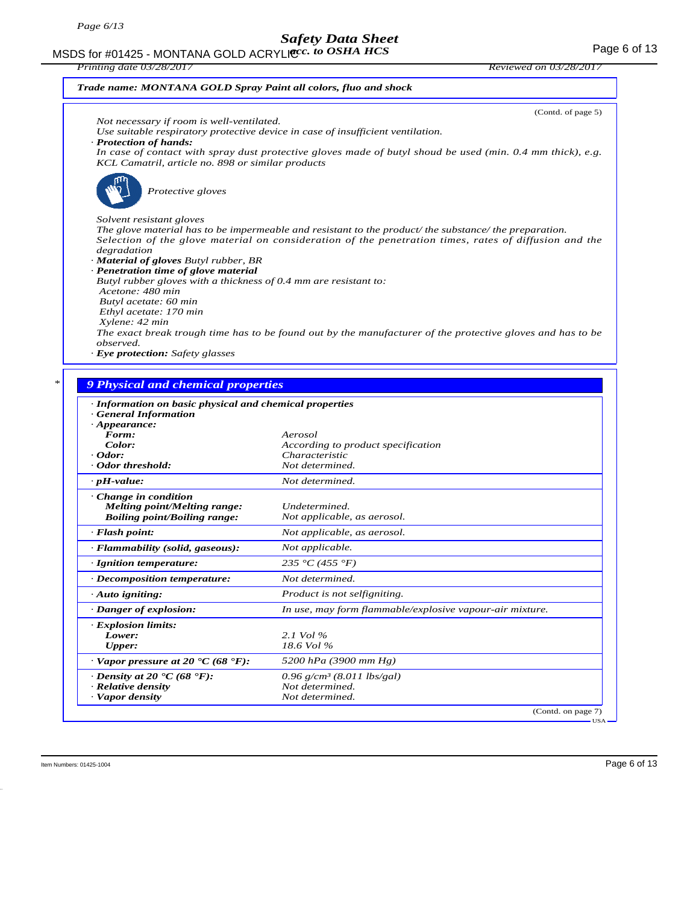MSDS for #01425 - MONTANA GOLD ACRYLIC  $cc.$  to OSHA HCS For the state of 13 *acc. to OSHA HCS*

| Printing date 03/28/2017                                                                                                                                                                                        | <i>Reviewed on 03/28/201</i> |
|-----------------------------------------------------------------------------------------------------------------------------------------------------------------------------------------------------------------|------------------------------|
| Trade name: MONTANA GOLD Spray Paint all colors, fluo and shock                                                                                                                                                 |                              |
|                                                                                                                                                                                                                 | (Contd. of page 5)           |
| Not necessary if room is well-ventilated.                                                                                                                                                                       |                              |
| Use suitable respiratory protective device in case of insufficient ventilation.<br>· Protection of hands:                                                                                                       |                              |
| In case of contact with spray dust protective gloves made of butyl shoud be used (min. 0.4 mm thick), e.g.<br>KCL Camatril, article no. 898 or similar products                                                 |                              |
| Protective gloves                                                                                                                                                                                               |                              |
| Solvent resistant gloves                                                                                                                                                                                        |                              |
| The glove material has to be impermeable and resistant to the product/ the substance/ the preparation.<br>Selection of the glove material on consideration of the penetration times, rates of diffusion and the |                              |
| degradation                                                                                                                                                                                                     |                              |
| · <b>Material of gloves</b> Butyl rubber, BR                                                                                                                                                                    |                              |
| · Penetration time of glove material                                                                                                                                                                            |                              |
| Butyl rubber gloves with a thickness of 0.4 mm are resistant to:<br>Acetone: 480 min                                                                                                                            |                              |
| Butyl acetate: 60 min                                                                                                                                                                                           |                              |
| Ethyl acetate: 170 min                                                                                                                                                                                          |                              |
| Xylene: 42 min                                                                                                                                                                                                  |                              |
| The exact break trough time has to be found out by the manufacturer of the protective gloves and has to be<br>observed.                                                                                         |                              |
| · Eye protection: Safety glasses                                                                                                                                                                                |                              |
|                                                                                                                                                                                                                 |                              |

### *\* 9 Physical and chemical properties*

| · General Information                           |                                                          |
|-------------------------------------------------|----------------------------------------------------------|
| $\cdot$ Appearance:                             |                                                          |
| Form:                                           | Aerosol                                                  |
| Color:                                          | According to product specification                       |
| $\cdot$ Odor:                                   | Characteristic                                           |
| Odor threshold:                                 | Not determined.                                          |
| $\cdot$ pH-value:                               | Not determined.                                          |
| · Change in condition                           |                                                          |
| <b>Melting point/Melting range:</b>             | Undetermined.                                            |
| <b>Boiling point/Boiling range:</b>             | Not applicable, as aerosol.                              |
| $\cdot$ Flash point:                            | Not applicable, as aerosol.                              |
| · Flammability (solid, gaseous):                | Not applicable.                                          |
| · Ignition temperature:                         | 235 °C (455 °F)                                          |
| $\cdot$ Decomposition temperature:              | Not determined.                                          |
| $\cdot$ Auto igniting:                          | <i>Product is not selfigniting.</i>                      |
| · Danger of explosion:                          | In use, may form flammable/explosive vapour-air mixture. |
| · Explosion limits:                             |                                                          |
| Lower:                                          | 2.1 Vol %                                                |
| <b>Upper:</b>                                   | 18.6 Vol %                                               |
| $\cdot$ Vapor pressure at 20 °C (68 °F):        | 5200 hPa (3900 mm Hg)                                    |
| $\cdot$ Density at 20 $\cdot$ C (68 $\cdot$ F): | $0.96$ g/cm <sup>3</sup> (8.011 lbs/gal)                 |
| · Relative density                              | Not determined.                                          |
| · Vapor density                                 | Not determined.                                          |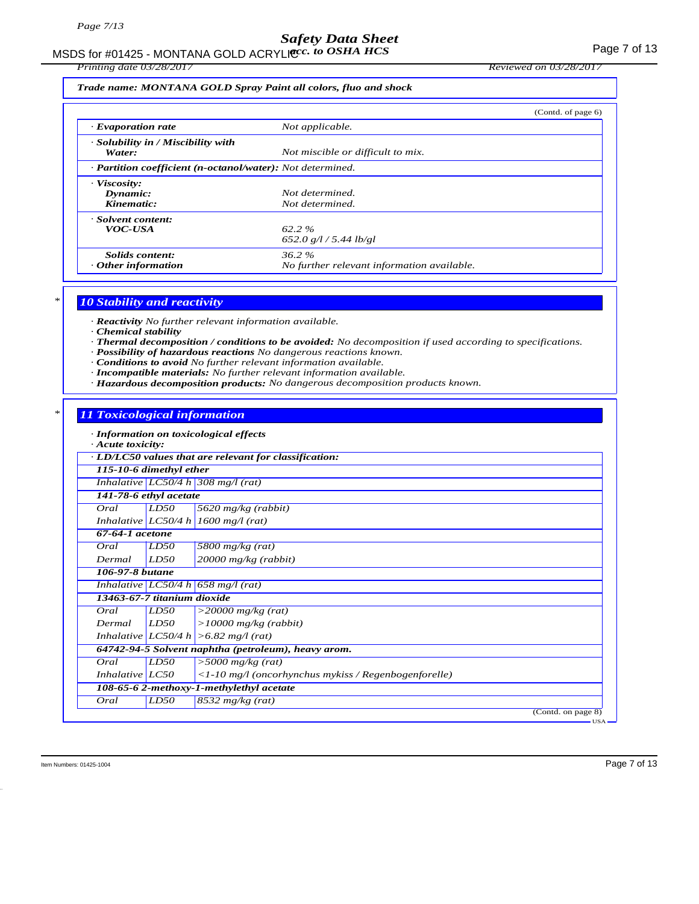MSDS for #01425 - MONTANA GOLD ACRYLICC. to OSHA HCS **Acceleration of the CONTANA COLD** ACRYLIC Control of the CON

*Printing date 03/28/2017 Reviewed on 03/28/2017*

*Trade name: MONTANA GOLD Spray Paint all colors, fluo and shock*

|                                                            |                                                        | (Contd. of page 6) |
|------------------------------------------------------------|--------------------------------------------------------|--------------------|
| $\cdot$ Evaporation rate                                   | Not applicable.                                        |                    |
| · Solubility in / Miscibility with<br>Water:               | Not miscible or difficult to mix.                      |                    |
| · Partition coefficient (n-octanol/water): Not determined. |                                                        |                    |
| $\cdot$ Viscosity:<br>Dynamic:<br>Kinematic:               | Not determined.<br>Not determined.                     |                    |
| · Solvent content:<br><b>VOC-USA</b>                       | $62.2 \%$<br>652.0 g/l / 5.44 lb/gl                    |                    |
| Solids content:<br>$\cdot$ Other information               | $36.2\%$<br>No further relevant information available. |                    |

### *\* 10 Stability and reactivity*

*· Reactivity No further relevant information available.*

- *· Chemical stability*
- *· Thermal decomposition / conditions to be avoided: No decomposition if used according to specifications.*
- *· Possibility of hazardous reactions No dangerous reactions known.*
- *· Conditions to avoid No further relevant information available.*
- *· Incompatible materials: No further relevant information available.*
- *· Hazardous decomposition products: No dangerous decomposition products known.*

### *\* 11 Toxicological information*

*· Information on toxicological effects*

| · Acute toxicity:           |             |                                                              |
|-----------------------------|-------------|--------------------------------------------------------------|
|                             |             | · LD/LC50 values that are relevant for classification:       |
| 115-10-6 dimethyl ether     |             |                                                              |
|                             |             | Inhalative $LC50/4 h$ 308 mg/l (rat)                         |
| 141-78-6 ethyl acetate      |             |                                                              |
| Oral                        | LD50        | 5620 mg/kg (rabbit)                                          |
|                             |             | Inhalative LC50/4 h 1600 mg/l (rat)                          |
| $67-64-1$ acetone           |             |                                                              |
| Oral                        | LD50        | 5800 mg/kg $(rat)$                                           |
| Dermal                      | LD50        | $20000$ mg/kg (rabbit)                                       |
| 106-97-8 butane             |             |                                                              |
|                             |             | Inhalative LC50/4 h 658 mg/l (rat)                           |
| 13463-67-7 titanium dioxide |             |                                                              |
| Oral                        | <i>LD50</i> | $>$ 20000 mg/kg (rat)                                        |
| Dermal                      | LD50        | $>10000$ mg/kg (rabbit)                                      |
|                             |             | Inhalative $ LC50/4 h  > 6.82 mg/l$ (rat)                    |
|                             |             | 64742-94-5 Solvent naphtha (petroleum), heavy arom.          |
| Oral                        | LD50        | $>$ 5000 mg/kg (rat)                                         |
| Inhalative $LC50$           |             | $\langle$ -10 mg/l (oncorhynchus mykiss / Regenbogenforelle) |
|                             |             | 108-65-6 2-methoxy-1-methylethyl acetate                     |
| Oral                        | LD50        | $8532$ mg/kg (rat)                                           |
|                             |             | (Contd. on page 8)                                           |
|                             |             | $-USA -$                                                     |

Item Numbers: 01425-1004 Page 7 of 13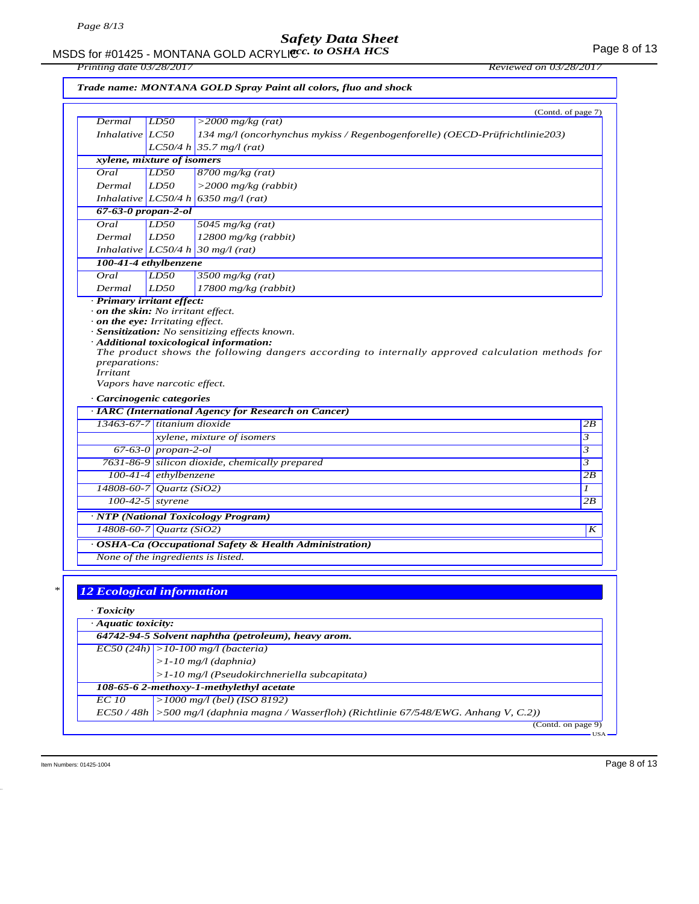#### MSDS for #01425 - MONTANA GOLD ACRYLIC  $cc.$  to OSHA HCS For the state of 13 *acc. to OSHA HCS*

*Printing date 03/28/2017 Reviewed on 03/28/2017*

|  |  | Trade name: MONTANA GOLD Spray Paint all colors, fluo and shock |  |
|--|--|-----------------------------------------------------------------|--|
|--|--|-----------------------------------------------------------------|--|

| Dermal                                                                 | LD50                    | (Contd. of page 7)<br>$>$ 2000 mg/kg (rat)                                                       |  |
|------------------------------------------------------------------------|-------------------------|--------------------------------------------------------------------------------------------------|--|
| Inhalative LC50                                                        |                         | 134 mg/l (oncorhynchus mykiss / Regenbogenforelle) (OECD-Prüfrichtlinie203)                      |  |
|                                                                        |                         | $LC50/4 h$ 35.7 mg/l (rat)                                                                       |  |
| xylene, mixture of isomers                                             |                         |                                                                                                  |  |
| Oral                                                                   | LD50                    | $8700$ mg/kg (rat)                                                                               |  |
| Dermal                                                                 | LD50                    | $>$ 2000 mg/kg (rabbit)                                                                          |  |
|                                                                        |                         | Inhalative LC50/4 h 6350 mg/l (rat)                                                              |  |
| 67-63-0 propan-2-ol                                                    |                         |                                                                                                  |  |
| Oral                                                                   | LD50                    | 5045 $mg/kg$ (rat)                                                                               |  |
| Dermal                                                                 | LD50                    | $12800$ mg/kg (rabbit)                                                                           |  |
|                                                                        |                         | Inhalative $LC50/4 h 30 mg/l$ (rat)                                                              |  |
| 100-41-4 ethylbenzene                                                  |                         |                                                                                                  |  |
| Oral                                                                   | LD50                    | $3500$ mg/kg (rat)                                                                               |  |
| Dermal                                                                 | LD50                    | $17800$ mg/kg (rabbit)                                                                           |  |
|                                                                        |                         |                                                                                                  |  |
| · Primary irritant effect:<br>$\cdot$ on the skin: No irritant effect. |                         |                                                                                                  |  |
|                                                                        |                         |                                                                                                  |  |
| $\cdot$ on the eye: Irritating effect.                                 |                         | · Sensitization: No sensitizing effects known.                                                   |  |
|                                                                        |                         |                                                                                                  |  |
|                                                                        |                         | · Additional toxicological information:                                                          |  |
|                                                                        |                         | The product shows the following dangers according to internally approved calculation methods for |  |
| preparations:<br><i>Irritant</i>                                       |                         |                                                                                                  |  |
| Vapors have narcotic effect.                                           |                         |                                                                                                  |  |
|                                                                        |                         |                                                                                                  |  |
|                                                                        |                         |                                                                                                  |  |
| · Carcinogenic categories                                              |                         |                                                                                                  |  |
|                                                                        |                         | · IARC (International Agency for Research on Cancer)                                             |  |
| 13463-67-7 titanium dioxide                                            |                         |                                                                                                  |  |
|                                                                        |                         | xylene, mixture of isomers                                                                       |  |
|                                                                        | $67-63-0$ propan-2-ol   |                                                                                                  |  |
|                                                                        |                         | 7631-86-9 silicon dioxide, chemically prepared                                                   |  |
|                                                                        | $100-41-4$ ethylbenzene |                                                                                                  |  |
| 14808-60-7 Quartz (SiO2)                                               |                         |                                                                                                  |  |
|                                                                        | $100-42-5$ styrene      |                                                                                                  |  |
|                                                                        |                         | · NTP (National Toxicology Program)                                                              |  |
| 14808-60-7 Quartz (SiO2)                                               |                         |                                                                                                  |  |
|                                                                        |                         | · OSHA-Ca (Occupational Safety & Health Administration)                                          |  |
|                                                                        |                         | None of the ingredients is listed.                                                               |  |
|                                                                        |                         |                                                                                                  |  |
|                                                                        |                         |                                                                                                  |  |
| <b>12 Ecological information</b>                                       |                         |                                                                                                  |  |
|                                                                        |                         |                                                                                                  |  |
| · Toxicity                                                             |                         |                                                                                                  |  |
| · Aquatic toxicity:                                                    |                         |                                                                                                  |  |
|                                                                        |                         | 64742-94-5 Solvent naphtha (petroleum), heavy arom.                                              |  |
|                                                                        |                         | $ ECSO(24h)  > 10-100$ mg/l (bacteria)                                                           |  |
|                                                                        |                         | $>1-10$ mg/l (daphnia)                                                                           |  |
|                                                                        |                         | $>1-10$ mg/l (Pseudokirchneriella subcapitata)                                                   |  |
|                                                                        |                         | 108-65-6 2-methoxy-1-methylethyl acetate                                                         |  |
| <b>EC</b> 10                                                           |                         | $>1000$ mg/l (bel) (ISO 8192)                                                                    |  |

USA

 $\frac{7}{($ Contd. on page 9 $)}$ 

Item Numbers: 01425-1004 Page 8 of 13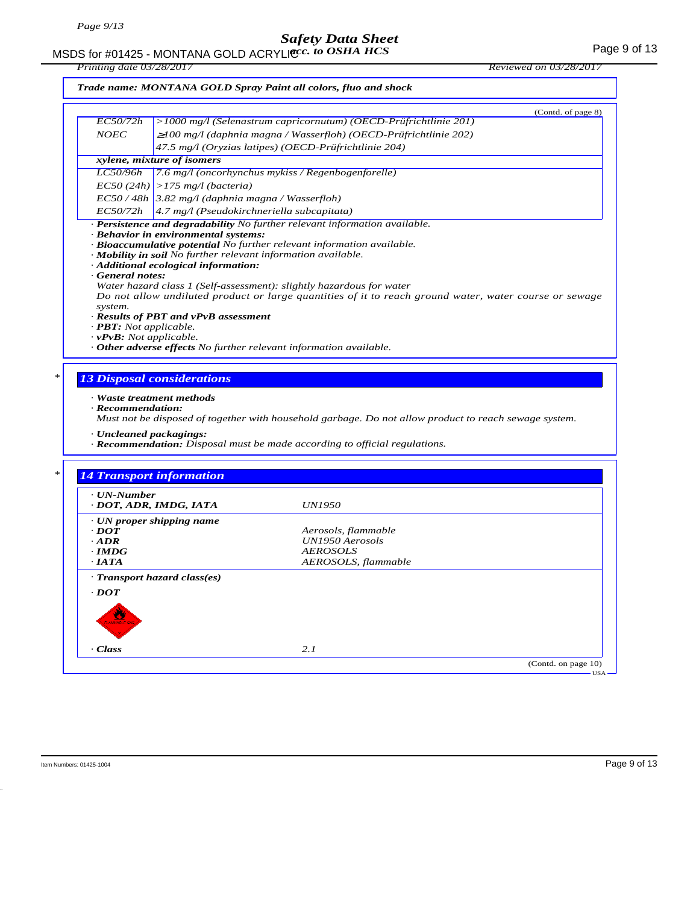# MSDS for #01425 - MONTANA GOLD ACRYLICC. to OSHA HCS **Acceleration of the COSE ACCOLD** ACRYLIC COSHA HCS

*Printing date 03/28/2017 Reviewed on 03/28/2017*

### *Trade name: MONTANA GOLD Spray Paint all colors, fluo and shock*

|                                                                               | (Contd. of page 8)                                                                                     |
|-------------------------------------------------------------------------------|--------------------------------------------------------------------------------------------------------|
| <i>EC50/72h</i>                                                               | >1000 mg/l (Selenastrum capricornutum) (OECD-Prüfrichtlinie 201)                                       |
| <b>NOEC</b>                                                                   | $\geq$ 100 mg/l (daphnia magna / Wasserfloh) (OECD-Prüfrichtlinie 202)                                 |
|                                                                               | 47.5 mg/l (Oryzias latipes) (OECD-Prüfrichtlinie 204)                                                  |
|                                                                               | xylene, mixture of isomers                                                                             |
| <i>LC50/96h</i>                                                               | $\left[7.6 \text{ mg}/1\right]$ (oncorhynchus mykiss / Regenbogenforelle)                              |
|                                                                               | $EC50 (24h)$ > 175 mg/l (bacteria)                                                                     |
|                                                                               | $EC$ 50 / 48h   3.82 mg/l (daphnia magna / Wasserfloh)                                                 |
| <i>EC50/72h</i>                                                               | $\vert$ 4.7 mg/l (Pseudokirchneriella subcapitata)                                                     |
|                                                                               | · Persistence and degradability No further relevant information available.                             |
|                                                                               | · Behavior in environmental systems:                                                                   |
|                                                                               | · Bioaccumulative potential No further relevant information available.                                 |
|                                                                               | · <b>Mobility in soil</b> No further relevant information available.                                   |
|                                                                               | · Additional ecological information:                                                                   |
| General notes:                                                                |                                                                                                        |
|                                                                               | Water hazard class 1 (Self-assessment): slightly hazardous for water                                   |
| system.                                                                       | Do not allow undiluted product or large quantities of it to reach ground water, water course or sewage |
|                                                                               | · Results of PBT and vPvB assessment                                                                   |
| $\cdot$ <b>PBT</b> : Not applicable.                                          |                                                                                                        |
| $\mathbf{u} \cdot \mathbf{D} \cdot \mathbf{D} \cdot \mathbf{M}$ ot applicable |                                                                                                        |

- *· vPvB: Not applicable.*
- *· Other adverse effects No further relevant information available.*

#### *\* 13 Disposal considerations*

#### *· Waste treatment methods*

*· Recommendation:*

*Must not be disposed of together with household garbage. Do not allow product to reach sewage system.*

- *· Uncleaned packagings:*
- *· Recommendation: Disposal must be made according to official regulations.*

| $\cdot$ UN-Number                                                     |                     |  |
|-----------------------------------------------------------------------|---------------------|--|
| · DOT, ADR, IMDG, IATA                                                | <i>UN1950</i>       |  |
| $\cdot$ UN proper shipping name                                       |                     |  |
| $\cdot$ DOT                                                           | Aerosols, flammable |  |
| $\cdot$ ADR                                                           | UN1950 Aerosols     |  |
| $\cdot$ IMDG                                                          | <b>AEROSOLS</b>     |  |
| $\cdot$ IATA                                                          | AEROSOLS, flammable |  |
| · Transport hazard class(es)<br>$\cdot$ <i>DOT</i><br>₩<br>AMMABLE CA |                     |  |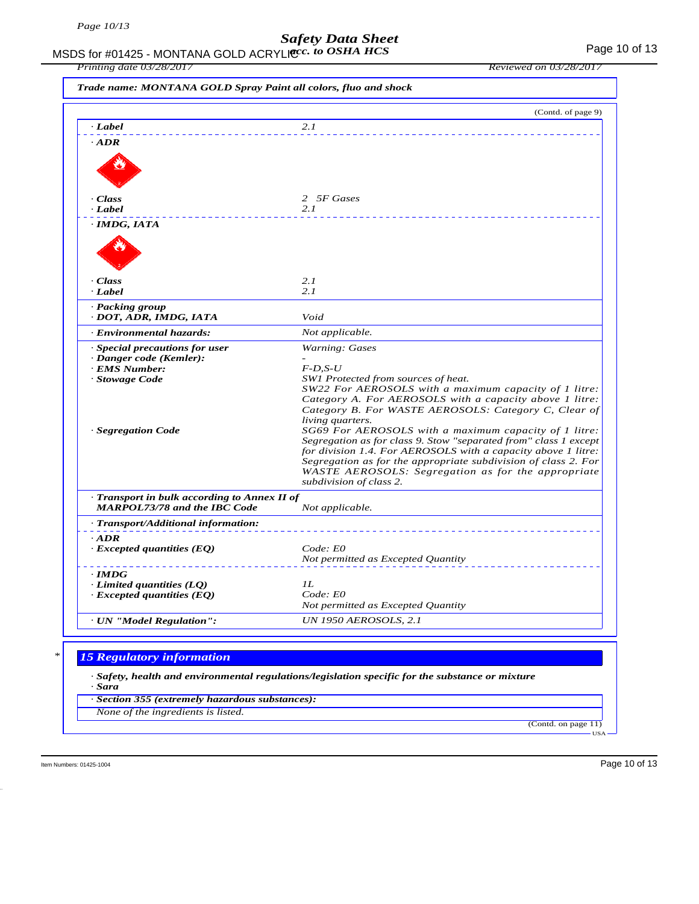MSDS for #01425 - MONTANA GOLD ACRYLIC  $cc.$  to OSHA HCS For the control of 13 *acc. to OSHA HCS*

*Printing date 03/28/2017 Reviewed on 03/28/2017*

|                                                           | (Contd. of page 9)                                                                                                                |
|-----------------------------------------------------------|-----------------------------------------------------------------------------------------------------------------------------------|
| · Label                                                   | 2.1                                                                                                                               |
| $\cdot$ ADR                                               |                                                                                                                                   |
|                                                           |                                                                                                                                   |
|                                                           |                                                                                                                                   |
|                                                           |                                                                                                                                   |
|                                                           |                                                                                                                                   |
| · Class                                                   | 2 5F Gases                                                                                                                        |
| · Label                                                   | 2.1                                                                                                                               |
| $\cdot$ IMDG, IATA                                        |                                                                                                                                   |
|                                                           |                                                                                                                                   |
|                                                           |                                                                                                                                   |
|                                                           |                                                                                                                                   |
| · Class                                                   | 2.1                                                                                                                               |
| · Label                                                   | 2.1                                                                                                                               |
|                                                           |                                                                                                                                   |
| · Packing group<br>· DOT, ADR, IMDG, IATA                 | Void                                                                                                                              |
| · Environmental hazards:                                  | Not applicable.                                                                                                                   |
|                                                           |                                                                                                                                   |
| · Special precautions for user<br>· Danger code (Kemler): | <b>Warning: Gases</b>                                                                                                             |
| <b>EMS Number:</b>                                        | $F$ -D,S-U                                                                                                                        |
| · Stowage Code                                            | SW1 Protected from sources of heat.                                                                                               |
|                                                           | SW22 For AEROSOLS with a maximum capacity of 1 litre:                                                                             |
|                                                           | Category A. For AEROSOLS with a capacity above 1 litre:                                                                           |
|                                                           | Category B. For WASTE AEROSOLS: Category C, Clear of                                                                              |
|                                                           | living quarters.                                                                                                                  |
| · Segregation Code                                        | SG69 For AEROSOLS with a maximum capacity of 1 litre:                                                                             |
|                                                           | Segregation as for class 9. Stow "separated from" class 1 except<br>for division 1.4. For AEROSOLS with a capacity above 1 litre: |
|                                                           | Segregation as for the appropriate subdivision of class 2. For                                                                    |
|                                                           | WASTE AEROSOLS: Segregation as for the appropriate                                                                                |
|                                                           | subdivision of class 2.                                                                                                           |
| Transport in bulk according to Annex II of                |                                                                                                                                   |
| <b>MARPOL73/78 and the IBC Code</b>                       | Not applicable.                                                                                                                   |
| · Transport/Additional information:                       |                                                                                                                                   |
| $\cdot$ ADR                                               |                                                                                                                                   |
| $\cdot$ Excepted quantities (EQ)                          | Code: E0                                                                                                                          |
|                                                           | Not permitted as Excepted Quantity                                                                                                |
| $\cdot$ IMDG                                              |                                                                                                                                   |
| $\cdot$ Limited quantities (LQ)                           | IL                                                                                                                                |
| $\cdot$ Excepted quantities (EQ)                          | Code: E0                                                                                                                          |
|                                                           | Not permitted as Excepted Quantity                                                                                                |
| · UN "Model Regulation":                                  | <b>UN 1950 AEROSOLS, 2.1</b>                                                                                                      |
|                                                           |                                                                                                                                   |
|                                                           |                                                                                                                                   |
| <b>15 Regulatory information</b>                          |                                                                                                                                   |
|                                                           | $\cdot$ Safety, health and environmental regulations/legislation specific for the substance or mixture                            |
| · Sara                                                    |                                                                                                                                   |

*None of the ingredients is listed.*

(Contd. on page 11) USA

Item Numbers: 01425-1004 Page 10 of 13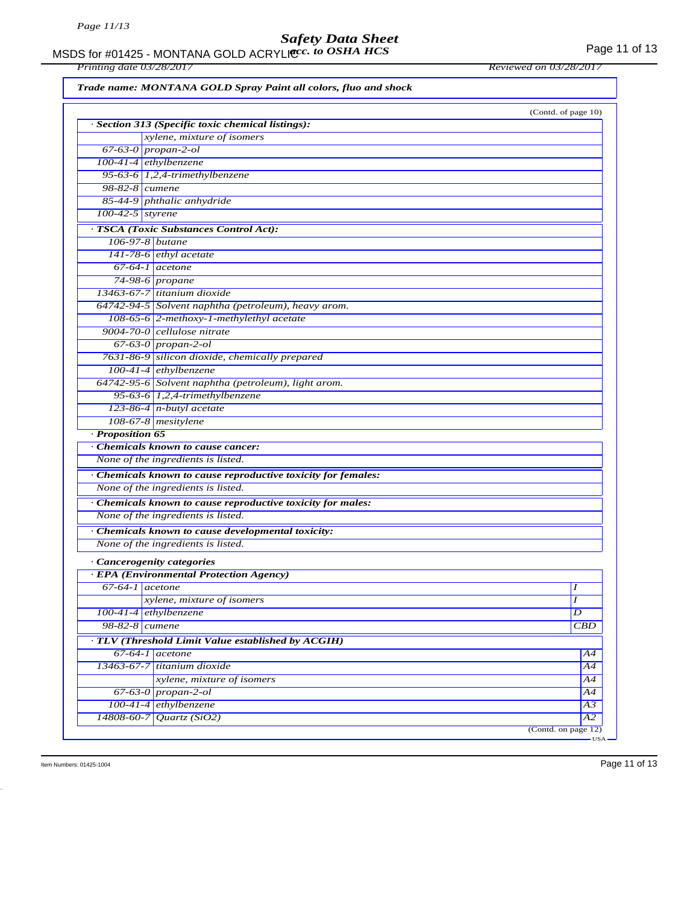#### MSDS for #01425 - MONTANA GOLD ACRYLIC  $cc.$  to OSHA HCS For the control of 13 *acc. to OSHA HCS*

*Printing date 03/28/2017 Reviewed on 03/28/2017*

*Trade name: MONTANA GOLD Spray Paint all colors, fluo and shock*

|                    | · Section 313 (Specific toxic chemical listings):             | (Contd. of page 10) |
|--------------------|---------------------------------------------------------------|---------------------|
|                    | xylene, mixture of isomers                                    |                     |
|                    | $67-63-0$ propan-2-ol                                         |                     |
|                    | 100-41-4 ethylbenzene                                         |                     |
|                    |                                                               |                     |
|                    | 95-63-6 $1,2,4$ -trimethylbenzene<br>$98-82-8$ cumene         |                     |
|                    | 85-44-9 phthalic anhydride                                    |                     |
| $100-42-5$ styrene |                                                               |                     |
|                    |                                                               |                     |
|                    | · TSCA (Toxic Substances Control Act):                        |                     |
|                    | 106-97-8 butane                                               |                     |
|                    | $141-78-6$ ethyl acetate                                      |                     |
|                    | $67-64-1$ acetone                                             |                     |
|                    | 74-98-6 propane                                               |                     |
|                    | 13463-67-7 titanium dioxide                                   |                     |
|                    | 64742-94-5 Solvent naphtha (petroleum), heavy arom.           |                     |
|                    | $108-65-6$ 2-methoxy-1-methylethyl acetate                    |                     |
|                    | $9004 - 70 - 0$ cellulose nitrate                             |                     |
|                    | $67-63-0$ propan-2-ol                                         |                     |
|                    | 7631-86-9 silicon dioxide, chemically prepared                |                     |
|                    | 100-41-4 ethylbenzene                                         |                     |
|                    | 64742-95-6 Solvent naphtha (petroleum), light arom.           |                     |
|                    | 95-63-6 $1,2,4$ -trimethylbenzene                             |                     |
|                    | $123-86-4$ n-butyl acetate                                    |                     |
|                    | 108-67-8 mesitylene                                           |                     |
| · Proposition 65   |                                                               |                     |
|                    | Chemicals known to cause cancer:                              |                     |
|                    | None of the ingredients is listed.                            |                     |
|                    | · Chemicals known to cause reproductive toxicity for females: |                     |
|                    | None of the ingredients is listed.                            |                     |
|                    | · Chemicals known to cause reproductive toxicity for males:   |                     |
|                    | None of the ingredients is listed.                            |                     |
|                    | · Chemicals known to cause developmental toxicity:            |                     |
|                    | None of the ingredients is listed.                            |                     |
|                    |                                                               |                     |
|                    | · Cancerogenity categories                                    |                     |
|                    | · EPA (Environmental Protection Agency)<br>$67-64-1$ acetone  | I                   |
|                    |                                                               | Ι                   |
|                    | xylene, mixture of isomers                                    |                     |
|                    | $100-41-4$ ethylbenzene                                       | D                   |
|                    | 98-82-8 cumene                                                | CBD                 |
|                    | · TLV (Threshold Limit Value established by ACGIH)            |                     |
|                    | $67-64-1$ acetone                                             | A4                  |
|                    | 13463-67-7 titanium dioxide                                   | $\overline{A4}$     |
|                    | xylene, mixture of isomers                                    | A4                  |
|                    | $67-63-0$ propan-2-ol                                         | A4                  |
|                    | 100-41-4 ethylbenzene                                         | $\overline{A3}$     |
| 14808-60-7         | Quartz(SiO2)                                                  | $\overline{A2}$     |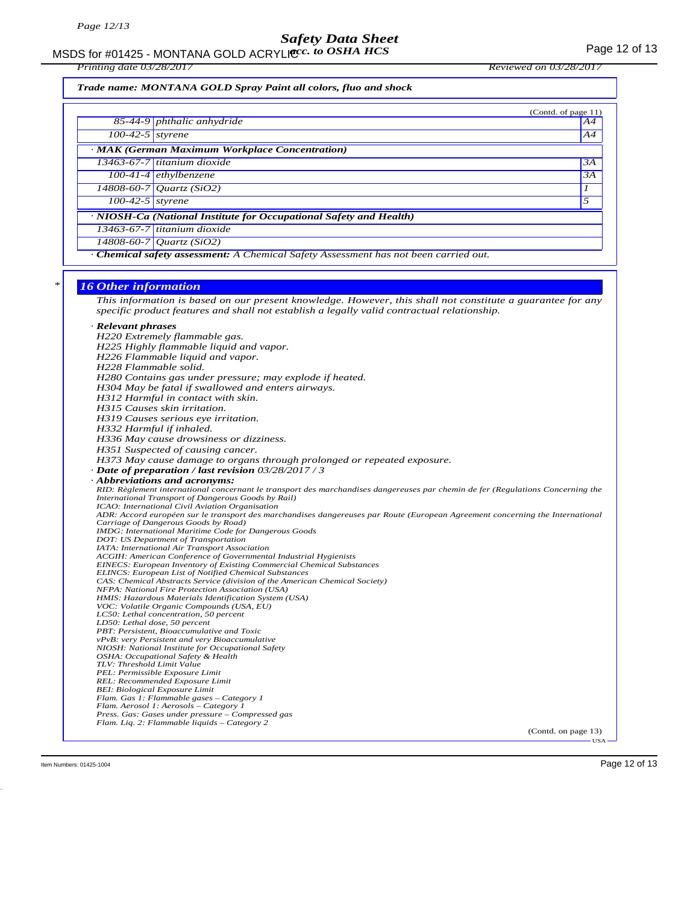MSDS for #01425 - MONTANA GOLD ACRYLICC. to OSHA HCS **Acceleration of the COSE ACCOLD** ACRYLIC COSHA HCS

*Trade name: MONTANA GOLD Spray Paint all colors, fluo and shock*

|                                                                                           | (Contd. of page 11)                   |    |  |  |
|-------------------------------------------------------------------------------------------|---------------------------------------|----|--|--|
|                                                                                           | 85-44-9 phthalic anhydride            | A4 |  |  |
| $\overline{100-42-5}$ styrene                                                             |                                       | A4 |  |  |
| · MAK (German Maximum Workplace Concentration)                                            |                                       |    |  |  |
|                                                                                           | $13463-67-7$ titanium dioxide         | 3A |  |  |
|                                                                                           | $\overline{100-41-4}$ ethylbenzene    | 3A |  |  |
|                                                                                           | $14808 - 60 - 7$ <i>Quartz</i> (SiO2) |    |  |  |
| $\overline{100-42}$ -5 styrene                                                            |                                       | 5  |  |  |
| · NIOSH-Ca (National Institute for Occupational Safety and Health)                        |                                       |    |  |  |
|                                                                                           | $13463 - 67 - 7$ titanium dioxide     |    |  |  |
|                                                                                           | $14808 - 60 - 7$ Quartz (SiO2)        |    |  |  |
| <b>Chemical safety assessment:</b> A Chemical Safety Assessment has not been carried out. |                                       |    |  |  |

#### *\* 16 Other information*

*This information is based on our present knowledge. However, this shall not constitute a guarantee for any specific product features and shall not establish a legally valid contractual relationship.*

### *· Relevant phrases*

*H220 Extremely flammable gas. H225 Highly flammable liquid and vapor. H226 Flammable liquid and vapor. H228 Flammable solid. H280 Contains gas under pressure; may explode if heated. H304 May be fatal if swallowed and enters airways. H312 Harmful in contact with skin. H315 Causes skin irritation. H319 Causes serious eye irritation. H332 Harmful if inhaled. H336 May cause drowsiness or dizziness. H351 Suspected of causing cancer. H373 May cause damage to organs through prolonged or repeated exposure. · Date of preparation / last revision 03/28/2017 / 3 · Abbreviations and acronyms: RID: Règlement international concernant le transport des marchandises dangereuses par chemin de fer (Regulations Concerning the International Transport of Dangerous Goods by Rail) ICAO: International Civil Aviation Organisation ADR: Accord européen sur le transport des marchandises dangereuses par Route (European Agreement concerning the International Carriage of Dangerous Goods by Road) IMDG: International Maritime Code for Dangerous Goods DOT: US Department of Transportation IATA: International Air Transport Association ACGIH: American Conference of Governmental Industrial Hygienists EINECS: European Inventory of Existing Commercial Chemical Substances ELINCS: European List of Notified Chemical Substances CAS: Chemical Abstracts Service (division of the American Chemical Society) NFPA: National Fire Protection Association (USA) HMIS: Hazardous Materials Identification System (USA) VOC: Volatile Organic Compounds (USA, EU) LC50: Lethal concentration, 50 percent LD50: Lethal dose, 50 percent PBT: Persistent, Bioaccumulative and Toxic vPvB: very Persistent and very Bioaccumulative NIOSH: National Institute for Occupational Safety OSHA: Occupational Safety & Health TLV: Threshold Limit Value PEL: Permissible Exposure Limit REL: Recommended Exposure Limit BEI: Biological Exposure Limit Flam. Gas 1: Flammable gases – Category 1 Flam. Aerosol 1: Aerosols – Category 1 Press. Gas: Gases under pressure – Compressed gas Flam. Liq. 2: Flammable liquids – Category 2*

(Contd. on page 13) USA